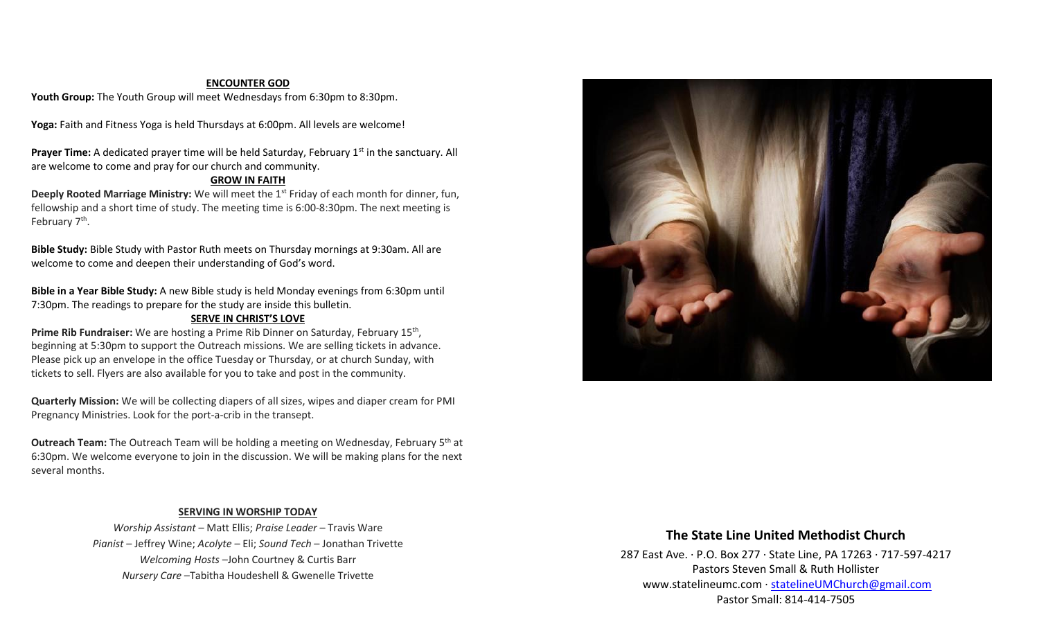#### **ENCOUNTER GOD**

Youth Group: The Youth Group will meet Wednesdays from 6:30pm to 8:30pm.

**Yoga:** Faith and Fitness Yoga is held Thursdays at 6:00pm. All levels are welcome!

**Prayer Time:** A dedicated prayer time will be held Saturday, February 1<sup>st</sup> in the sanctuary. All are welcome to come and pray for our church and community.

#### **GROW IN FAITH**

**Deeply Rooted Marriage Ministry:** We will meet the 1<sup>st</sup> Friday of each month for dinner, fun, fellowship and a short time of study. The meeting time is 6:00-8:30pm. The next meeting is February 7<sup>th</sup>.

**Bible Study:** Bible Study with Pastor Ruth meets on Thursday mornings at 9:30am. All are welcome to come and deepen their understanding of God's word.

**Bible in a Year Bible Study:** A new Bible study is held Monday evenings from 6:30pm until 7:30pm. The readings to prepare for the study are inside this bulletin.

#### **SERVE IN CHRIST'S LOVE**

Prime Rib Fundraiser: We are hosting a Prime Rib Dinner on Saturday, February 15<sup>th</sup>, beginning at 5:30pm to support the Outreach missions. We are selling tickets in advance. Please pick up an envelope in the office Tuesday or Thursday, or at church Sunday, with tickets to sell. Flyers are also available for you to take and post in the community.

**Quarterly Mission:** We will be collecting diapers of all sizes, wipes and diaper cream for PMI Pregnancy Ministries. Look for the port-a-crib in the transept.

**Outreach Team:** The Outreach Team will be holding a meeting on Wednesday, February 5<sup>th</sup> at 6:30pm. We welcome everyone to join in the discussion. We will be making plans for the next several months.

#### **SERVING IN WORSHIP TODAY**

*Worship Assistant* – Matt Ellis; *Praise Leader* – Travis Ware *Pianist* – Jeffrey Wine; *Acolyte* – Eli; *Sound Tech* – Jonathan Trivette *Welcoming Hosts* –John Courtney & Curtis Barr *Nursery Care* –Tabitha Houdeshell & Gwenelle Trivette



# **The State Line United Methodist Church**

287 East Ave. · P.O. Box 277 · State Line, PA 17263 · 717-597-4217 Pastors Steven Small & Ruth Hollister [www.statelineumc.com](http://www.statelineumc.com/) · [statelineUMChurch@gmail.com](mailto:statelineUMChurch@gmail.com) Pastor Small: 814-414-7505